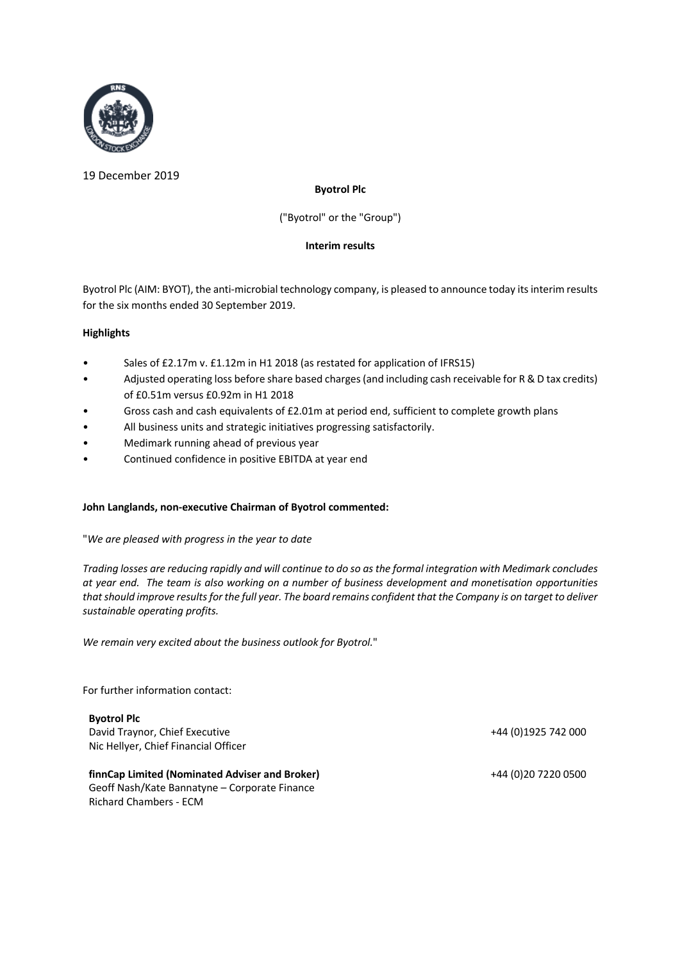

19 December 2019

### **Byotrol Plc**

("Byotrol" or the "Group")

### **Interim results**

Byotrol Plc (AIM: BYOT), the anti-microbial technology company, is pleased to announce today its interim results for the six months ended 30 September 2019.

### **Highlights**

- Sales of £2.17m v. £1.12m in H1 2018 (as restated for application of IFRS15)
- Adjusted operating loss before share based charges (and including cash receivable for R & D tax credits) of £0.51m versus £0.92m in H1 2018
- Gross cash and cash equivalents of £2.01m at period end, sufficient to complete growth plans
- All business units and strategic initiatives progressing satisfactorily.
- Medimark running ahead of previous year
- Continued confidence in positive EBITDA at year end

### **John Langlands, non-executive Chairman of Byotrol commented:**

### "*We are pleased with progress in the year to date*

*Trading losses are reducing rapidly and will continue to do so as the formal integration with Medimark concludes at year end. The team is also working on a number of business development and monetisation opportunities that should improve results for the full year. The board remains confident that the Company is on target to deliver sustainable operating profits.*

*We remain very excited about the business outlook for Byotrol.*"

For further information contact:

**Byotrol Plc** David Traynor, Chief Executive +44 (0)1925 742 000 Nic Hellyer, Chief Financial Officer

**finnCap Limited (Nominated Adviser and Broker)** +44 (0)20 7220 0500 Geoff Nash/Kate Bannatyne – Corporate Finance Richard Chambers - ECM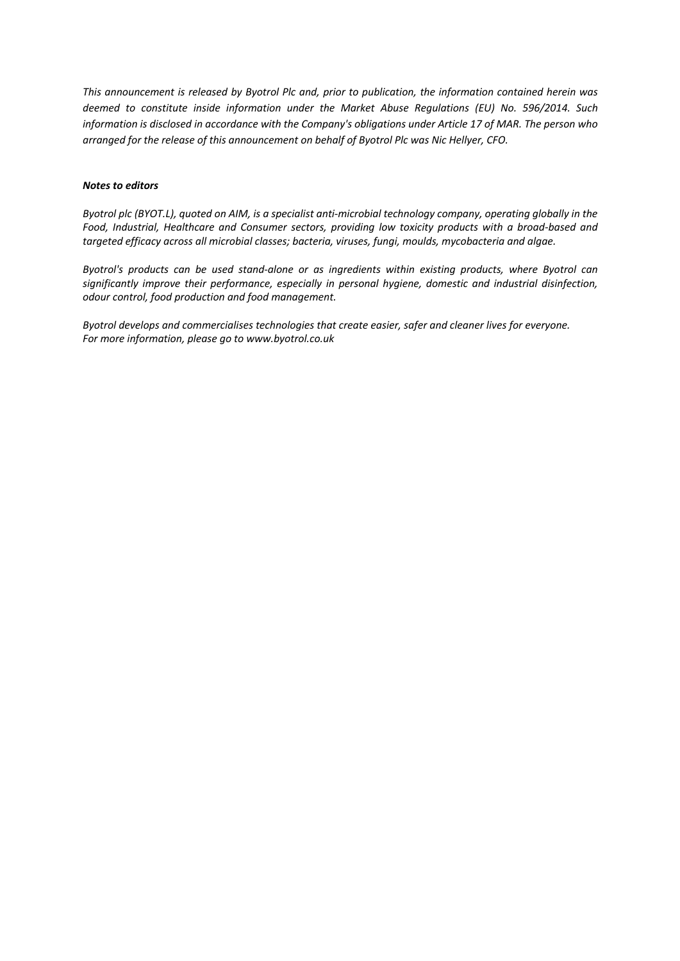*This announcement is released by Byotrol Plc and, prior to publication, the information contained herein was deemed to constitute inside information under the Market Abuse Regulations (EU) No. 596/2014. Such information is disclosed in accordance with the Company's obligations under Article 17 of MAR. The person who arranged for the release of this announcement on behalf of Byotrol Plc was Nic Hellyer, CFO.*

#### *Notes to editors*

*Byotrol plc (BYOT.L), quoted on AIM, is a specialist anti-microbial technology company, operating globally in the Food, Industrial, Healthcare and Consumer sectors, providing low toxicity products with a broad-based and targeted efficacy across all microbial classes; bacteria, viruses, fungi, moulds, mycobacteria and algae.* 

*Byotrol's products can be used stand-alone or as ingredients within existing products, where Byotrol can significantly improve their performance, especially in personal hygiene, domestic and industrial disinfection, odour control, food production and food management.* 

*Byotrol develops and commercialises technologies that create easier, safer and cleaner lives for everyone. For more information, please go to www.byotrol.co.uk*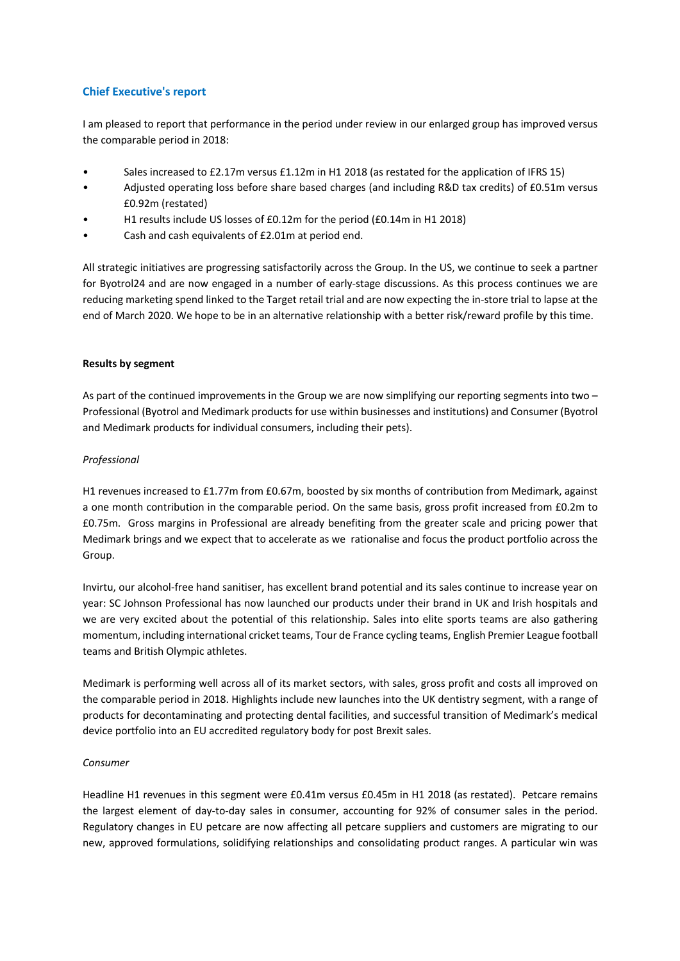### **Chief Executive's report**

I am pleased to report that performance in the period under review in our enlarged group has improved versus the comparable period in 2018:

- Sales increased to £2.17m versus £1.12m in H1 2018 (as restated for the application of IFRS 15)
- Adjusted operating loss before share based charges (and including R&D tax credits) of £0.51m versus £0.92m (restated)
- H1 results include US losses of £0.12m for the period (£0.14m in H1 2018)
- Cash and cash equivalents of £2.01m at period end.

All strategic initiatives are progressing satisfactorily across the Group. In the US, we continue to seek a partner for Byotrol24 and are now engaged in a number of early-stage discussions. As this process continues we are reducing marketing spend linked to the Target retail trial and are now expecting the in-store trial to lapse at the end of March 2020. We hope to be in an alternative relationship with a better risk/reward profile by this time.

#### **Results by segment**

As part of the continued improvements in the Group we are now simplifying our reporting segments into two – Professional (Byotrol and Medimark products for use within businesses and institutions) and Consumer (Byotrol and Medimark products for individual consumers, including their pets).

#### *Professional*

H1 revenues increased to £1.77m from £0.67m, boosted by six months of contribution from Medimark, against a one month contribution in the comparable period. On the same basis, gross profit increased from £0.2m to £0.75m. Gross margins in Professional are already benefiting from the greater scale and pricing power that Medimark brings and we expect that to accelerate as we rationalise and focus the product portfolio across the Group.

Invirtu, our alcohol-free hand sanitiser, has excellent brand potential and its sales continue to increase year on year: SC Johnson Professional has now launched our products under their brand in UK and Irish hospitals and we are very excited about the potential of this relationship. Sales into elite sports teams are also gathering momentum, including international cricket teams, Tour de France cycling teams, English Premier League football teams and British Olympic athletes.

Medimark is performing well across all of its market sectors, with sales, gross profit and costs all improved on the comparable period in 2018. Highlights include new launches into the UK dentistry segment, with a range of products for decontaminating and protecting dental facilities, and successful transition of Medimark's medical device portfolio into an EU accredited regulatory body for post Brexit sales.

### *Consumer*

Headline H1 revenues in this segment were £0.41m versus £0.45m in H1 2018 (as restated). Petcare remains the largest element of day-to-day sales in consumer, accounting for 92% of consumer sales in the period. Regulatory changes in EU petcare are now affecting all petcare suppliers and customers are migrating to our new, approved formulations, solidifying relationships and consolidating product ranges. A particular win was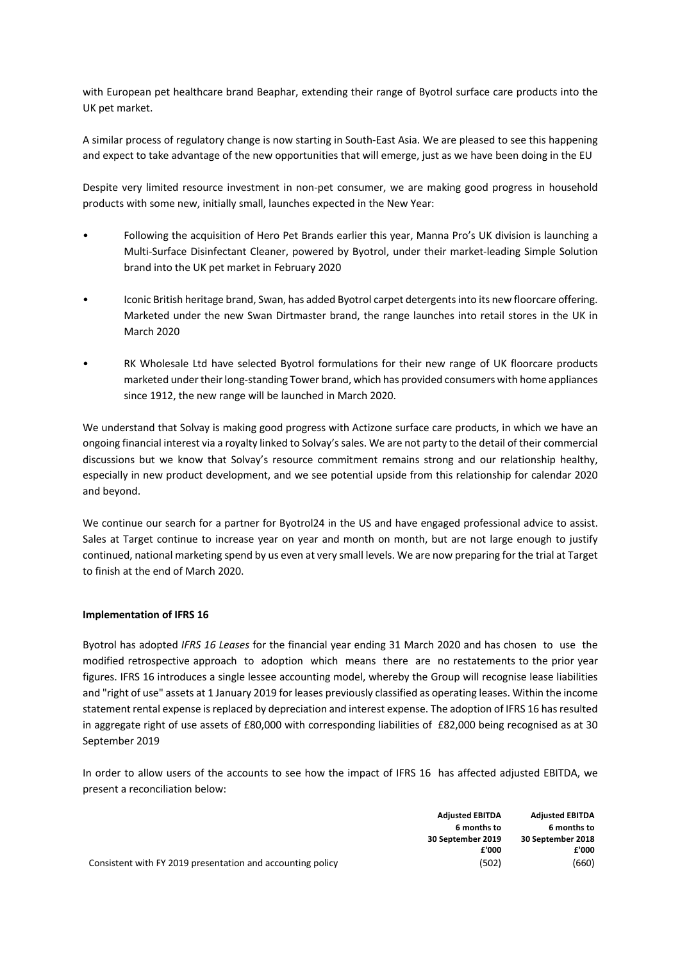with European pet healthcare brand Beaphar, extending their range of Byotrol surface care products into the UK pet market.

A similar process of regulatory change is now starting in South-East Asia. We are pleased to see this happening and expect to take advantage of the new opportunities that will emerge, just as we have been doing in the EU

Despite very limited resource investment in non-pet consumer, we are making good progress in household products with some new, initially small, launches expected in the New Year:

- Following the acquisition of Hero Pet Brands earlier this year, Manna Pro's UK division is launching a Multi-Surface Disinfectant Cleaner, powered by Byotrol, under their market-leading Simple Solution brand into the UK pet market in February 2020
- Iconic British heritage brand, Swan, has added Byotrol carpet detergents into its new floorcare offering. Marketed under the new Swan Dirtmaster brand, the range launches into retail stores in the UK in March 2020
- RK Wholesale Ltd have selected Byotrol formulations for their new range of UK floorcare products marketed under their long-standing Tower brand, which has provided consumers with home appliances since 1912, the new range will be launched in March 2020.

We understand that Solvay is making good progress with Actizone surface care products, in which we have an ongoing financial interest via a royalty linked to Solvay's sales. We are not party to the detail of their commercial discussions but we know that Solvay's resource commitment remains strong and our relationship healthy, especially in new product development, and we see potential upside from this relationship for calendar 2020 and beyond.

We continue our search for a partner for Byotrol24 in the US and have engaged professional advice to assist. Sales at Target continue to increase year on year and month on month, but are not large enough to justify continued, national marketing spend by us even at very small levels. We are now preparing for the trial at Target to finish at the end of March 2020.

#### **Implementation of IFRS 16**

Byotrol has adopted *IFRS 16 Leases* for the financial year ending 31 March 2020 and has chosen to use the modified retrospective approach to adoption which means there are no restatements to the prior year figures. IFRS 16 introduces a single lessee accounting model, whereby the Group will recognise lease liabilities and "right of use" assets at 1 January 2019 for leases previously classified as operating leases. Within the income statement rental expense is replaced by depreciation and interest expense. The adoption of IFRS 16 has resulted in aggregate right of use assets of £80,000 with corresponding liabilities of £82,000 being recognised as at 30 September 2019

In order to allow users of the accounts to see how the impact of IFRS 16 has affected adjusted EBITDA, we present a reconciliation below:

|                                                            | <b>Adjusted EBITDA</b> | <b>Adjusted EBITDA</b> |
|------------------------------------------------------------|------------------------|------------------------|
|                                                            | 6 months to            | 6 months to            |
|                                                            | 30 September 2019      | 30 September 2018      |
|                                                            | £'000                  | £'000                  |
| Consistent with FY 2019 presentation and accounting policy | (502)                  | (660)                  |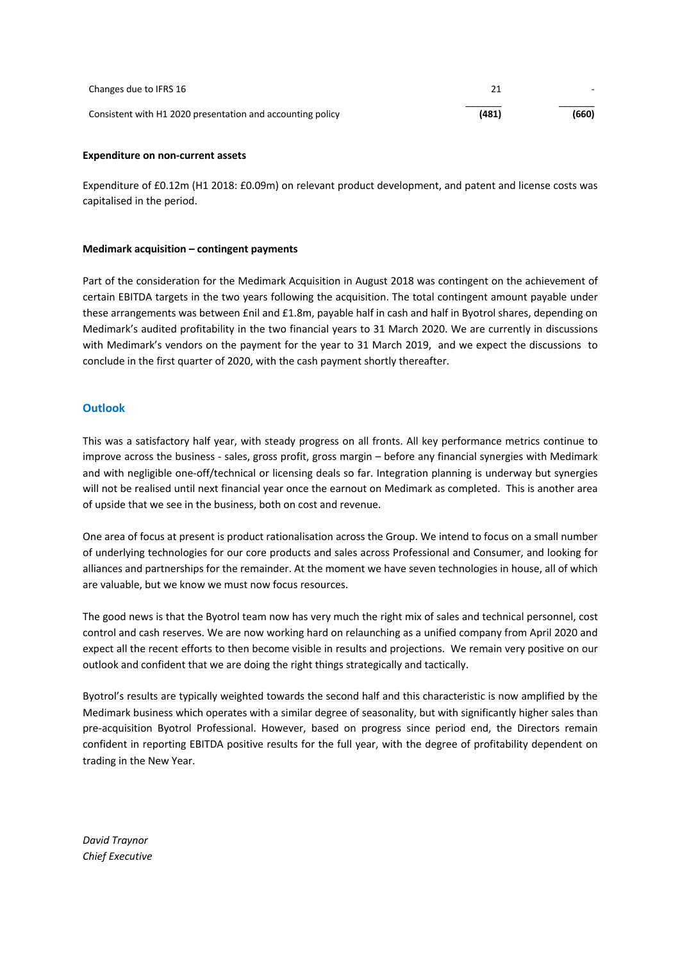| Changes due to IFRS 16                                     |       |       |
|------------------------------------------------------------|-------|-------|
| Consistent with H1 2020 presentation and accounting policy | (481) | (660) |

#### **Expenditure on non-current assets**

Expenditure of £0.12m (H1 2018: £0.09m) on relevant product development, and patent and license costs was capitalised in the period.

#### **Medimark acquisition – contingent payments**

Part of the consideration for the Medimark Acquisition in August 2018 was contingent on the achievement of certain EBITDA targets in the two years following the acquisition. The total contingent amount payable under these arrangements was between £nil and £1.8m, payable half in cash and half in Byotrol shares, depending on Medimark's audited profitability in the two financial years to 31 March 2020. We are currently in discussions with Medimark's vendors on the payment for the year to 31 March 2019, and we expect the discussions to conclude in the first quarter of 2020, with the cash payment shortly thereafter.

#### **Outlook**

This was a satisfactory half year, with steady progress on all fronts. All key performance metrics continue to improve across the business - sales, gross profit, gross margin – before any financial synergies with Medimark and with negligible one-off/technical or licensing deals so far. Integration planning is underway but synergies will not be realised until next financial year once the earnout on Medimark as completed. This is another area of upside that we see in the business, both on cost and revenue.

One area of focus at present is product rationalisation across the Group. We intend to focus on a small number of underlying technologies for our core products and sales across Professional and Consumer, and looking for alliances and partnerships for the remainder. At the moment we have seven technologies in house, all of which are valuable, but we know we must now focus resources.

The good news is that the Byotrol team now has very much the right mix of sales and technical personnel, cost control and cash reserves. We are now working hard on relaunching as a unified company from April 2020 and expect all the recent efforts to then become visible in results and projections. We remain very positive on our outlook and confident that we are doing the right things strategically and tactically.

Byotrol's results are typically weighted towards the second half and this characteristic is now amplified by the Medimark business which operates with a similar degree of seasonality, but with significantly higher sales than pre-acquisition Byotrol Professional. However, based on progress since period end, the Directors remain confident in reporting EBITDA positive results for the full year, with the degree of profitability dependent on trading in the New Year.

*David Traynor Chief Executive*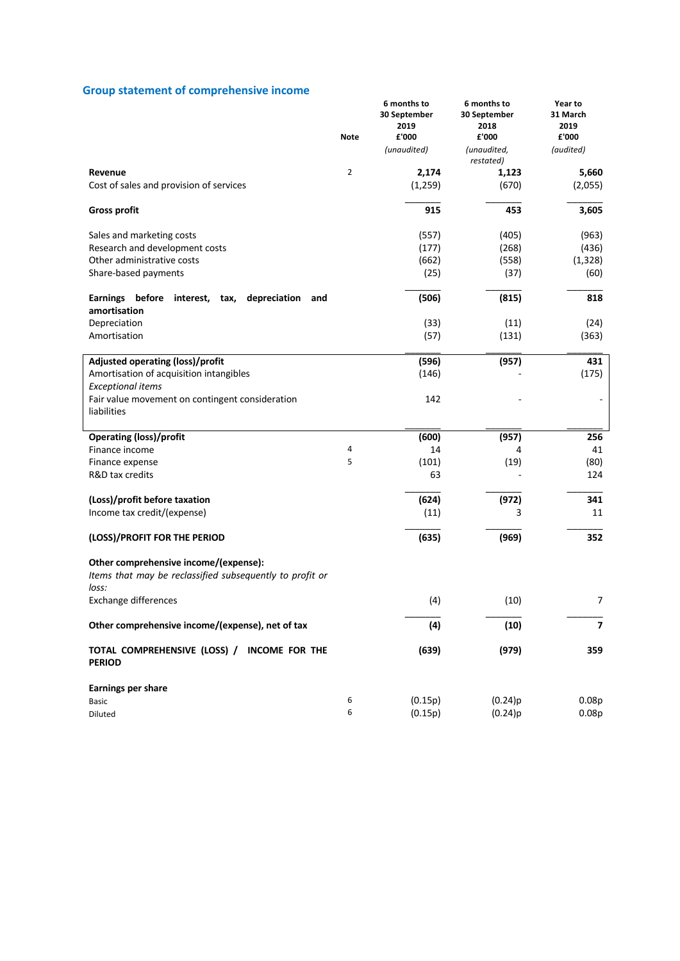# **Group statement of comprehensive income**

|                                                                                                            | Note           | 6 months to<br>30 September<br>2019<br>£'000 | 6 months to<br>30 September<br>2018<br>£'000 | Year to<br>31 March<br>2019<br>£'000 |
|------------------------------------------------------------------------------------------------------------|----------------|----------------------------------------------|----------------------------------------------|--------------------------------------|
|                                                                                                            |                | (unaudited)                                  | (unaudited,<br>restated)                     | (audited)                            |
| Revenue                                                                                                    | $\overline{2}$ | 2,174                                        | 1,123                                        | 5,660                                |
| Cost of sales and provision of services                                                                    |                | (1,259)                                      | (670)                                        | (2,055)                              |
| <b>Gross profit</b>                                                                                        |                | 915                                          | 453                                          | 3,605                                |
| Sales and marketing costs                                                                                  |                | (557)                                        | (405)                                        | (963)                                |
| Research and development costs                                                                             |                | (177)                                        | (268)                                        | (436)                                |
| Other administrative costs                                                                                 |                | (662)                                        | (558)                                        | (1, 328)                             |
| Share-based payments                                                                                       |                | (25)                                         | (37)                                         | (60)                                 |
| depreciation<br><b>Earnings</b><br>before<br>interest,<br>tax,<br>and<br>amortisation                      |                | (506)                                        | (815)                                        | 818                                  |
| Depreciation                                                                                               |                | (33)                                         | (11)                                         | (24)                                 |
| Amortisation                                                                                               |                | (57)                                         | (131)                                        | (363)                                |
| Adjusted operating (loss)/profit                                                                           |                | (596)                                        | (957)                                        | 431                                  |
| Amortisation of acquisition intangibles<br><b>Exceptional items</b>                                        |                | (146)                                        |                                              | (175)                                |
| Fair value movement on contingent consideration                                                            |                | 142                                          |                                              |                                      |
| liabilities                                                                                                |                |                                              |                                              |                                      |
| <b>Operating (loss)/profit</b>                                                                             |                | (600)                                        | (957)                                        | 256                                  |
| Finance income                                                                                             | 4              | 14                                           | 4                                            | 41                                   |
| Finance expense                                                                                            | 5              | (101)                                        | (19)                                         | (80)                                 |
| R&D tax credits                                                                                            |                | 63                                           |                                              | 124                                  |
| (Loss)/profit before taxation                                                                              |                | (624)                                        | (972)                                        | 341                                  |
| Income tax credit/(expense)                                                                                |                | (11)                                         | 3                                            | 11                                   |
| (LOSS)/PROFIT FOR THE PERIOD                                                                               |                | (635)                                        | (969)                                        | 352                                  |
| Other comprehensive income/(expense):<br>Items that may be reclassified subsequently to profit or<br>loss: |                |                                              |                                              |                                      |
| <b>Exchange differences</b>                                                                                |                | (4)                                          | (10)                                         | $\overline{7}$                       |
| Other comprehensive income/(expense), net of tax                                                           |                | (4)                                          | (10)                                         | $\overline{\mathbf{z}}$              |
| TOTAL COMPREHENSIVE (LOSS) / INCOME FOR THE<br><b>PERIOD</b>                                               |                | (639)                                        | (979)                                        | 359                                  |
| Earnings per share                                                                                         |                |                                              |                                              |                                      |
| <b>Basic</b>                                                                                               | 6              | (0.15p)                                      | (0.24)p                                      | 0.08p                                |
| Diluted                                                                                                    | 6              | (0.15p)                                      | (0.24)p                                      | 0.08p                                |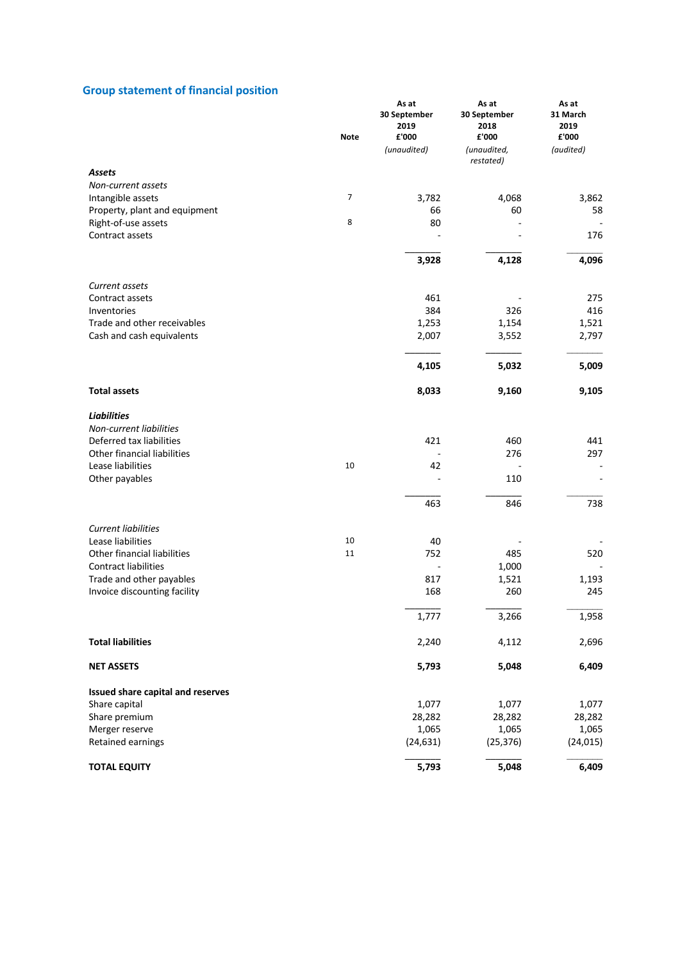### **Group statement of financial position**

|                                                  | <b>Note</b> | As at<br>30 September<br>2019<br>£'000<br>(unaudited) | As at<br>30 September<br>2018<br>£'000<br>(unaudited, | As at<br>31 March<br>2019<br>£'000<br>(audited) |
|--------------------------------------------------|-------------|-------------------------------------------------------|-------------------------------------------------------|-------------------------------------------------|
| <b>Assets</b>                                    |             |                                                       | restated)                                             |                                                 |
| Non-current assets                               |             |                                                       |                                                       |                                                 |
| Intangible assets                                | 7           | 3,782                                                 | 4,068                                                 | 3,862                                           |
| Property, plant and equipment                    |             | 66                                                    | 60                                                    | 58                                              |
| Right-of-use assets                              | 8           | 80                                                    |                                                       |                                                 |
| Contract assets                                  |             |                                                       |                                                       | 176                                             |
|                                                  |             | 3,928                                                 | 4,128                                                 | 4,096                                           |
| Current assets                                   |             |                                                       |                                                       |                                                 |
| Contract assets                                  |             | 461                                                   |                                                       | 275                                             |
| Inventories                                      |             | 384                                                   | 326                                                   | 416                                             |
| Trade and other receivables                      |             | 1,253                                                 | 1,154                                                 | 1,521                                           |
| Cash and cash equivalents                        |             | 2,007                                                 | 3,552                                                 | 2,797                                           |
|                                                  |             | 4,105                                                 | 5,032                                                 | 5,009                                           |
| <b>Total assets</b>                              |             | 8,033                                                 | 9,160                                                 | 9,105                                           |
| <b>Liabilities</b>                               |             |                                                       |                                                       |                                                 |
| Non-current liabilities                          |             |                                                       |                                                       |                                                 |
| Deferred tax liabilities                         |             | 421                                                   | 460                                                   | 441                                             |
| Other financial liabilities<br>Lease liabilities | 10          | 42                                                    | 276                                                   | 297                                             |
| Other payables                                   |             |                                                       | 110                                                   |                                                 |
|                                                  |             |                                                       |                                                       |                                                 |
|                                                  |             | 463                                                   | 846                                                   | 738                                             |
| <b>Current liabilities</b>                       |             |                                                       |                                                       |                                                 |
| Lease liabilities                                | 10          | 40                                                    |                                                       |                                                 |
| Other financial liabilities                      | 11          | 752                                                   | 485                                                   | 520                                             |
| <b>Contract liabilities</b>                      |             |                                                       | 1,000                                                 |                                                 |
| Trade and other payables                         |             | 817                                                   | 1,521                                                 | 1,193<br>245                                    |
| Invoice discounting facility                     |             | 168                                                   | 260                                                   |                                                 |
|                                                  |             | 1,777                                                 | 3,266                                                 | 1,958                                           |
| <b>Total liabilities</b>                         |             | 2,240                                                 | 4,112                                                 | 2,696                                           |
| <b>NET ASSETS</b>                                |             | 5,793                                                 | 5,048                                                 | 6,409                                           |
| Issued share capital and reserves                |             |                                                       |                                                       |                                                 |
| Share capital                                    |             | 1,077                                                 | 1,077                                                 | 1,077                                           |
| Share premium                                    |             | 28,282                                                | 28,282                                                | 28,282                                          |
| Merger reserve                                   |             | 1,065                                                 | 1,065                                                 | 1,065                                           |
| Retained earnings                                |             | (24, 631)                                             | (25, 376)                                             | (24, 015)                                       |
| <b>TOTAL EQUITY</b>                              |             | 5,793                                                 | 5,048                                                 | 6,409                                           |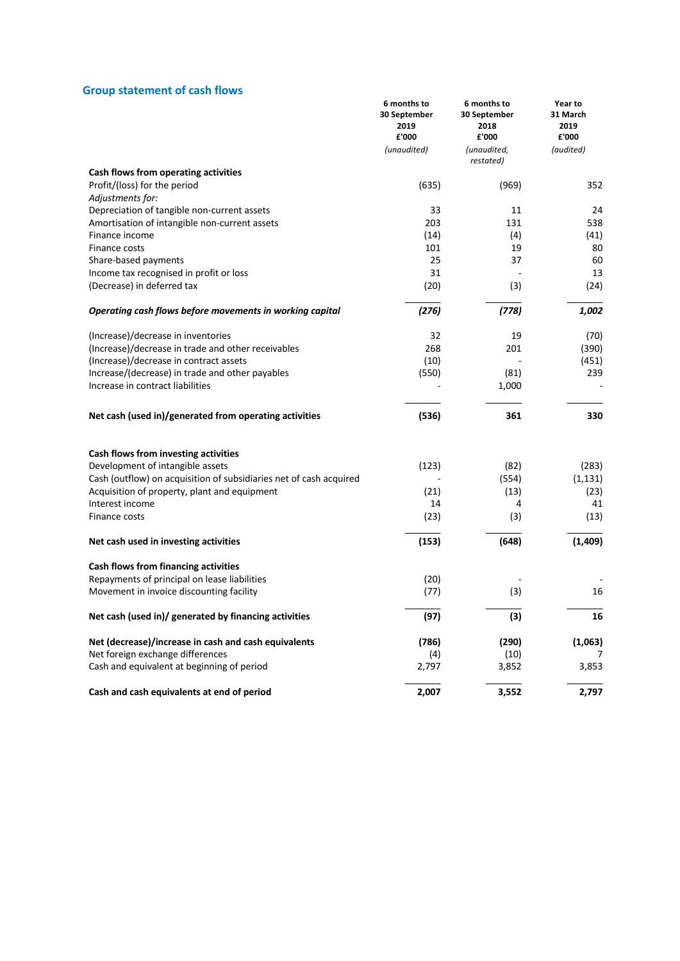# **Group statement of cash flows**

|                                                                          | 6 months to<br>30 September<br>2019<br>£'000 | 6 months to<br>30 September<br>2018<br>£'000 | Year to<br>31 March<br>2019<br>£'000 |
|--------------------------------------------------------------------------|----------------------------------------------|----------------------------------------------|--------------------------------------|
|                                                                          | (unaudited)                                  | (unaudited,<br>restated)                     | (audited)                            |
| Cash flows from operating activities                                     |                                              |                                              |                                      |
| Profit/(loss) for the period                                             | (635)                                        | (969)                                        | 352                                  |
| Adjustments for:                                                         |                                              |                                              |                                      |
| Depreciation of tangible non-current assets                              | 33                                           | 11                                           | 24                                   |
| Amortisation of intangible non-current assets                            | 203                                          | 131                                          | 538                                  |
| Finance income                                                           | (14)                                         | (4)                                          | (41)                                 |
| Finance costs                                                            | 101                                          | 19                                           | 80                                   |
| Share-based payments                                                     | 25                                           | 37                                           | 60                                   |
| Income tax recognised in profit or loss                                  | 31                                           |                                              | 13                                   |
| (Decrease) in deferred tax                                               | (20)                                         | (3)                                          | (24)                                 |
| Operating cash flows before movements in working capital                 | (276)                                        | (778)                                        | 1,002                                |
| (Increase)/decrease in inventories                                       | 32                                           | 19                                           | (70)                                 |
| (Increase)/decrease in trade and other receivables                       | 268                                          | 201                                          | (390)                                |
| (Increase)/decrease in contract assets                                   | (10)                                         |                                              | (451)                                |
| Increase/(decrease) in trade and other payables                          | (550)                                        | (81)                                         | 239                                  |
| Increase in contract liabilities                                         |                                              | 1,000                                        |                                      |
| Net cash (used in)/generated from operating activities                   | (536)                                        | 361                                          | 330                                  |
|                                                                          |                                              |                                              |                                      |
| Cash flows from investing activities<br>Development of intangible assets | (123)                                        | (82)                                         | (283)                                |
| Cash (outflow) on acquisition of subsidiaries net of cash acquired       |                                              | (554)                                        | (1, 131)                             |
| Acquisition of property, plant and equipment                             | (21)                                         | (13)                                         | (23)                                 |
| Interest income                                                          | 14                                           | 4                                            | 41                                   |
| Finance costs                                                            | (23)                                         | (3)                                          | (13)                                 |
| Net cash used in investing activities                                    | (153)                                        | (648)                                        | (1,409)                              |
| Cash flows from financing activities                                     |                                              |                                              |                                      |
| Repayments of principal on lease liabilities                             | (20)                                         |                                              |                                      |
| Movement in invoice discounting facility                                 | (77)                                         | (3)                                          | 16                                   |
|                                                                          |                                              |                                              |                                      |
| Net cash (used in)/ generated by financing activities                    | (97)                                         | (3)                                          | 16                                   |
| Net (decrease)/increase in cash and cash equivalents                     | (786)                                        | (290)                                        | (1,063)                              |
| Net foreign exchange differences                                         | (4)                                          | (10)                                         | 7                                    |
| Cash and equivalent at beginning of period                               | 2,797                                        | 3,852                                        | 3,853                                |
| Cash and cash equivalents at end of period                               | 2,007                                        | 3,552                                        | 2,797                                |
|                                                                          |                                              |                                              |                                      |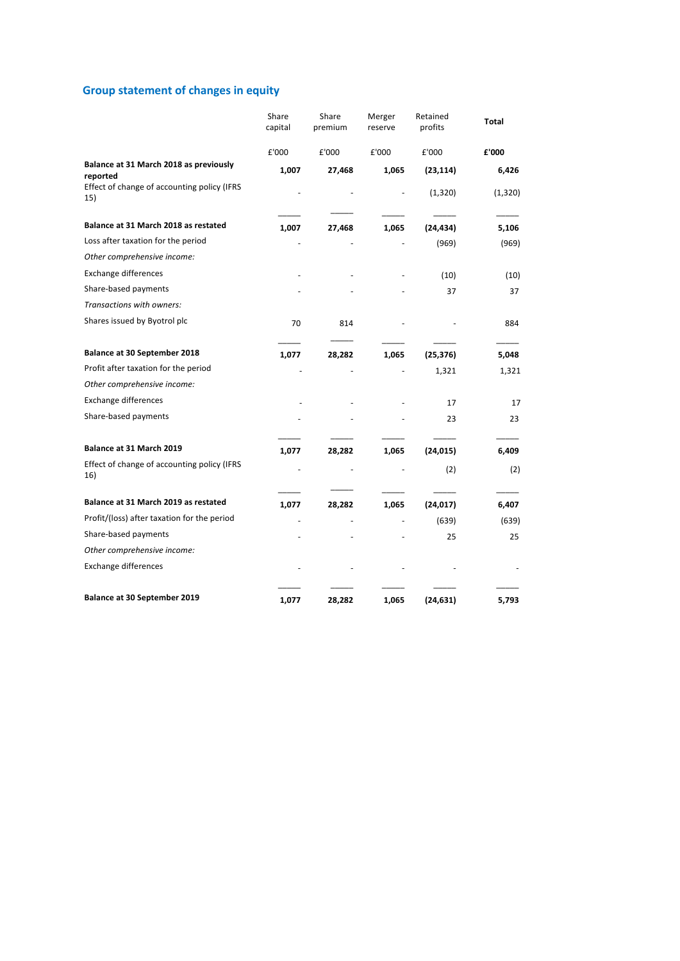# **Group statement of changes in equity**

|                                                    | Share<br>capital | Share<br>premium | Merger<br>reserve | Retained<br>profits | Total    |
|----------------------------------------------------|------------------|------------------|-------------------|---------------------|----------|
|                                                    | £'000            | £'000            | £'000             | £'000               | £'000    |
| Balance at 31 March 2018 as previously<br>reported | 1,007            | 27,468           | 1,065             | (23, 114)           | 6,426    |
| Effect of change of accounting policy (IFRS<br>15) |                  |                  |                   | (1, 320)            | (1, 320) |
| Balance at 31 March 2018 as restated               | 1,007            | 27,468           | 1,065             | (24, 434)           | 5,106    |
| Loss after taxation for the period                 |                  |                  |                   | (969)               | (969)    |
| Other comprehensive income:                        |                  |                  |                   |                     |          |
| <b>Exchange differences</b>                        |                  |                  |                   | (10)                | (10)     |
| Share-based payments                               |                  |                  |                   | 37                  | 37       |
| Transactions with owners:                          |                  |                  |                   |                     |          |
| Shares issued by Byotrol plc                       | 70               | 814              |                   |                     | 884      |
| Balance at 30 September 2018                       | 1,077            | 28,282           | 1,065             | (25, 376)           | 5,048    |
| Profit after taxation for the period               |                  |                  |                   | 1,321               | 1,321    |
| Other comprehensive income:                        |                  |                  |                   |                     |          |
| <b>Exchange differences</b>                        |                  |                  |                   | 17                  | 17       |
| Share-based payments                               |                  |                  |                   | 23                  | 23       |
| Balance at 31 March 2019                           | 1,077            | 28,282           | 1,065             | (24, 015)           | 6,409    |
| Effect of change of accounting policy (IFRS<br>16) |                  |                  |                   | (2)                 | (2)      |
| Balance at 31 March 2019 as restated               | 1,077            | 28,282           | 1,065             | (24, 017)           | 6,407    |
| Profit/(loss) after taxation for the period        |                  |                  |                   | (639)               | (639)    |
| Share-based payments                               |                  |                  |                   | 25                  | 25       |
| Other comprehensive income:                        |                  |                  |                   |                     |          |
| <b>Exchange differences</b>                        |                  |                  |                   |                     |          |
| Balance at 30 September 2019                       | 1,077            | 28,282           | 1,065             | (24, 631)           | 5,793    |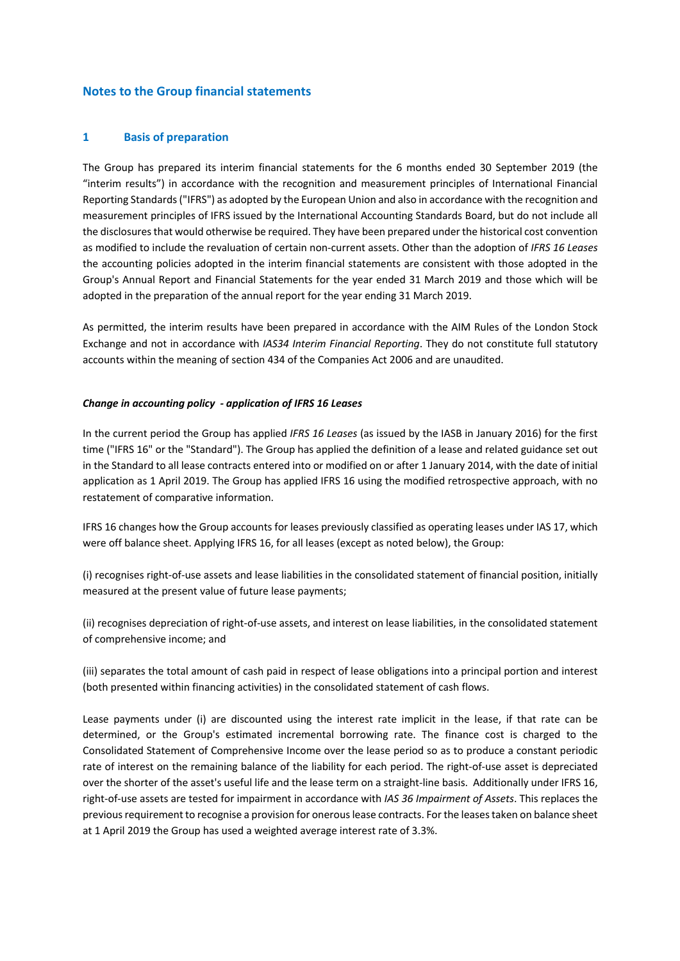### **Notes to the Group financial statements**

#### **1 Basis of preparation**

The Group has prepared its interim financial statements for the 6 months ended 30 September 2019 (the "interim results") in accordance with the recognition and measurement principles of International Financial Reporting Standards ("IFRS") as adopted by the European Union and also in accordance with the recognition and measurement principles of IFRS issued by the International Accounting Standards Board, but do not include all the disclosures that would otherwise be required. They have been prepared under the historical cost convention as modified to include the revaluation of certain non-current assets. Other than the adoption of *IFRS 16 Leases* the accounting policies adopted in the interim financial statements are consistent with those adopted in the Group's Annual Report and Financial Statements for the year ended 31 March 2019 and those which will be adopted in the preparation of the annual report for the year ending 31 March 2019.

As permitted, the interim results have been prepared in accordance with the AIM Rules of the London Stock Exchange and not in accordance with *IAS34 Interim Financial Reporting*. They do not constitute full statutory accounts within the meaning of section 434 of the Companies Act 2006 and are unaudited.

#### *Change in accounting policy - application of IFRS 16 Leases*

In the current period the Group has applied *IFRS 16 Leases* (as issued by the IASB in January 2016) for the first time ("IFRS 16" or the "Standard"). The Group has applied the definition of a lease and related guidance set out in the Standard to all lease contracts entered into or modified on or after 1 January 2014, with the date of initial application as 1 April 2019. The Group has applied IFRS 16 using the modified retrospective approach, with no restatement of comparative information.

IFRS 16 changes how the Group accounts for leases previously classified as operating leases under IAS 17, which were off balance sheet. Applying IFRS 16, for all leases (except as noted below), the Group:

(i) recognises right-of-use assets and lease liabilities in the consolidated statement of financial position, initially measured at the present value of future lease payments;

(ii) recognises depreciation of right-of-use assets, and interest on lease liabilities, in the consolidated statement of comprehensive income; and

(iii) separates the total amount of cash paid in respect of lease obligations into a principal portion and interest (both presented within financing activities) in the consolidated statement of cash flows.

Lease payments under (i) are discounted using the interest rate implicit in the lease, if that rate can be determined, or the Group's estimated incremental borrowing rate. The finance cost is charged to the Consolidated Statement of Comprehensive Income over the lease period so as to produce a constant periodic rate of interest on the remaining balance of the liability for each period. The right-of-use asset is depreciated over the shorter of the asset's useful life and the lease term on a straight-line basis. Additionally under IFRS 16, right-of-use assets are tested for impairment in accordance with *IAS 36 Impairment of Assets*. This replaces the previous requirement to recognise a provision for onerous lease contracts. For the leases taken on balance sheet at 1 April 2019 the Group has used a weighted average interest rate of 3.3%.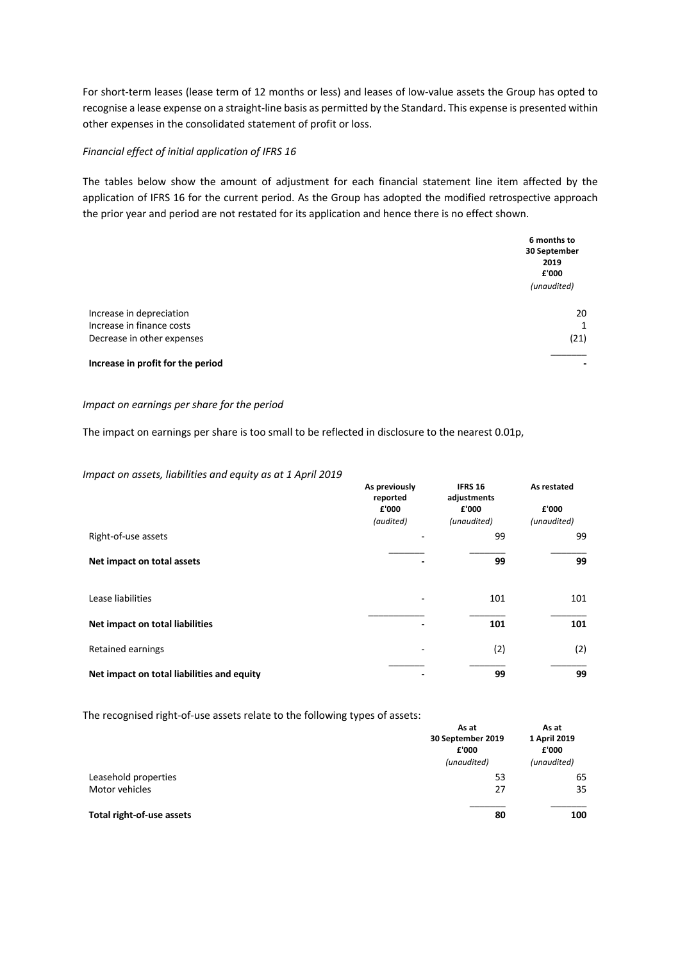For short-term leases (lease term of 12 months or less) and leases of low-value assets the Group has opted to recognise a lease expense on a straight-line basis as permitted by the Standard. This expense is presented within other expenses in the consolidated statement of profit or loss.

#### *Financial effect of initial application of IFRS 16*

The tables below show the amount of adjustment for each financial statement line item affected by the application of IFRS 16 for the current period. As the Group has adopted the modified retrospective approach the prior year and period are not restated for its application and hence there is no effect shown.

|                                   | 6 months to<br>30 September<br>2019<br>£'000<br>(unaudited) |
|-----------------------------------|-------------------------------------------------------------|
| Increase in depreciation          | 20                                                          |
| Increase in finance costs         | $\mathbf{1}$                                                |
| Decrease in other expenses        | (21)                                                        |
| Increase in profit for the period |                                                             |

#### *Impact on earnings per share for the period*

The impact on earnings per share is too small to be reflected in disclosure to the nearest 0.01p,

#### *Impact on assets, liabilities and equity as at 1 April 2019*

|                                            | As previously<br>reported | <b>IFRS 16</b><br>adjustments | As restated<br>£'000 |
|--------------------------------------------|---------------------------|-------------------------------|----------------------|
|                                            | £'000                     | £'000                         |                      |
|                                            | (audited)                 | (unaudited)                   | (unaudited)          |
| Right-of-use assets                        |                           | 99                            | 99                   |
| Net impact on total assets                 |                           | 99                            | 99                   |
| Lease liabilities                          |                           | 101                           | 101                  |
| Net impact on total liabilities            |                           | 101                           | 101                  |
| Retained earnings                          |                           | (2)                           | (2)                  |
| Net impact on total liabilities and equity |                           | 99                            | 99                   |

The recognised right-of-use assets relate to the following types of assets:

|                           | As at<br>30 September 2019<br>£'000 | As at<br>1 April 2019<br>£'000 |
|---------------------------|-------------------------------------|--------------------------------|
|                           | (unaudited)                         | (unaudited)                    |
| Leasehold properties      | 53                                  | 65                             |
| Motor vehicles            | 27                                  | 35                             |
| Total right-of-use assets | 80                                  | 100                            |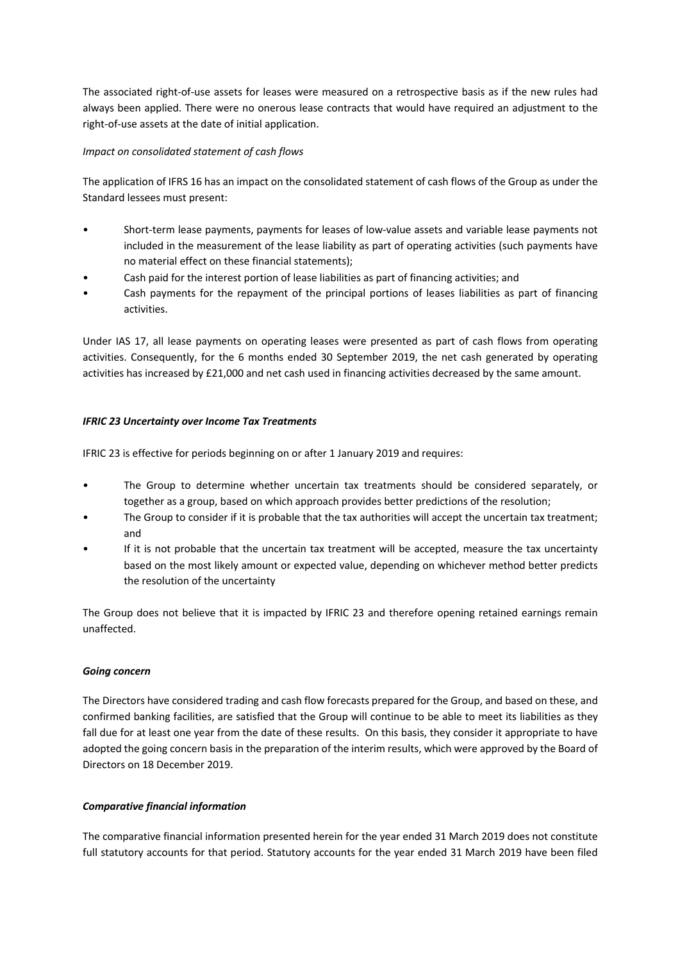The associated right-of-use assets for leases were measured on a retrospective basis as if the new rules had always been applied. There were no onerous lease contracts that would have required an adjustment to the right-of-use assets at the date of initial application.

#### *Impact on consolidated statement of cash flows*

The application of IFRS 16 has an impact on the consolidated statement of cash flows of the Group as under the Standard lessees must present:

- Short-term lease payments, payments for leases of low-value assets and variable lease payments not included in the measurement of the lease liability as part of operating activities (such payments have no material effect on these financial statements);
- Cash paid for the interest portion of lease liabilities as part of financing activities; and
- Cash payments for the repayment of the principal portions of leases liabilities as part of financing activities.

Under IAS 17, all lease payments on operating leases were presented as part of cash flows from operating activities. Consequently, for the 6 months ended 30 September 2019, the net cash generated by operating activities has increased by £21,000 and net cash used in financing activities decreased by the same amount.

### *IFRIC 23 Uncertainty over Income Tax Treatments*

IFRIC 23 is effective for periods beginning on or after 1 January 2019 and requires:

- The Group to determine whether uncertain tax treatments should be considered separately, or together as a group, based on which approach provides better predictions of the resolution;
- The Group to consider if it is probable that the tax authorities will accept the uncertain tax treatment; and
- If it is not probable that the uncertain tax treatment will be accepted, measure the tax uncertainty based on the most likely amount or expected value, depending on whichever method better predicts the resolution of the uncertainty

The Group does not believe that it is impacted by IFRIC 23 and therefore opening retained earnings remain unaffected.

#### *Going concern*

The Directors have considered trading and cash flow forecasts prepared for the Group, and based on these, and confirmed banking facilities, are satisfied that the Group will continue to be able to meet its liabilities as they fall due for at least one year from the date of these results. On this basis, they consider it appropriate to have adopted the going concern basis in the preparation of the interim results, which were approved by the Board of Directors on 18 December 2019.

### *Comparative financial information*

The comparative financial information presented herein for the year ended 31 March 2019 does not constitute full statutory accounts for that period. Statutory accounts for the year ended 31 March 2019 have been filed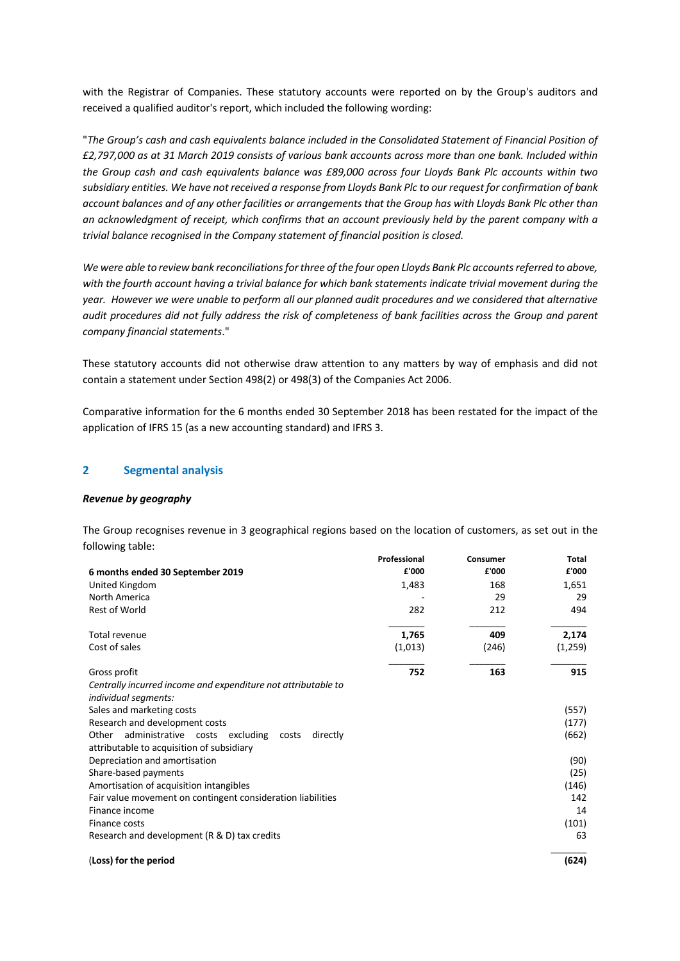with the Registrar of Companies. These statutory accounts were reported on by the Group's auditors and received a qualified auditor's report, which included the following wording:

"*The Group's cash and cash equivalents balance included in the Consolidated Statement of Financial Position of £2,797,000 as at 31 March 2019 consists of various bank accounts across more than one bank. Included within the Group cash and cash equivalents balance was £89,000 across four Lloyds Bank Plc accounts within two subsidiary entities. We have not received a response from Lloyds Bank Plc to our request for confirmation of bank account balances and of any other facilities or arrangements that the Group has with Lloyds Bank Plc other than an acknowledgment of receipt, which confirms that an account previously held by the parent company with a trivial balance recognised in the Company statement of financial position is closed.*

*We were able to review bank reconciliations for three of the four open Lloyds Bank Plc accounts referred to above, with the fourth account having a trivial balance for which bank statements indicate trivial movement during the year. However we were unable to perform all our planned audit procedures and we considered that alternative audit procedures did not fully address the risk of completeness of bank facilities across the Group and parent company financial statements*."

These statutory accounts did not otherwise draw attention to any matters by way of emphasis and did not contain a statement under Section 498(2) or 498(3) of the Companies Act 2006.

Comparative information for the 6 months ended 30 September 2018 has been restated for the impact of the application of IFRS 15 (as a new accounting standard) and IFRS 3.

#### **2 Segmental analysis**

#### *Revenue by geography*

The Group recognises revenue in 3 geographical regions based on the location of customers, as set out in the following table:

|                                                               | Professional | Consumer | <b>Total</b> |
|---------------------------------------------------------------|--------------|----------|--------------|
| 6 months ended 30 September 2019                              | £'000        | £'000    | £'000        |
| United Kingdom                                                | 1,483        | 168      | 1,651        |
| North America                                                 |              | 29       | 29           |
| <b>Rest of World</b>                                          | 282          | 212      | 494          |
| Total revenue                                                 | 1,765        | 409      | 2,174        |
| Cost of sales                                                 | (1,013)      | (246)    | (1,259)      |
| Gross profit                                                  | 752          | 163      | 915          |
| Centrally incurred income and expenditure not attributable to |              |          |              |
| individual segments:                                          |              |          |              |
| Sales and marketing costs                                     |              |          | (557)        |
| Research and development costs                                |              |          | (177)        |
| administrative costs excluding<br>directly<br>Other<br>costs  |              |          | (662)        |
| attributable to acquisition of subsidiary                     |              |          |              |
| Depreciation and amortisation                                 |              |          | (90)         |
| Share-based payments                                          |              |          | (25)         |
| Amortisation of acquisition intangibles                       |              |          | (146)        |
| Fair value movement on contingent consideration liabilities   |              |          | 142          |
| Finance income                                                |              |          | 14           |
| Finance costs                                                 |              |          | (101)        |
| Research and development (R & D) tax credits                  |              |          | 63           |
| (Loss) for the period                                         |              |          | (624)        |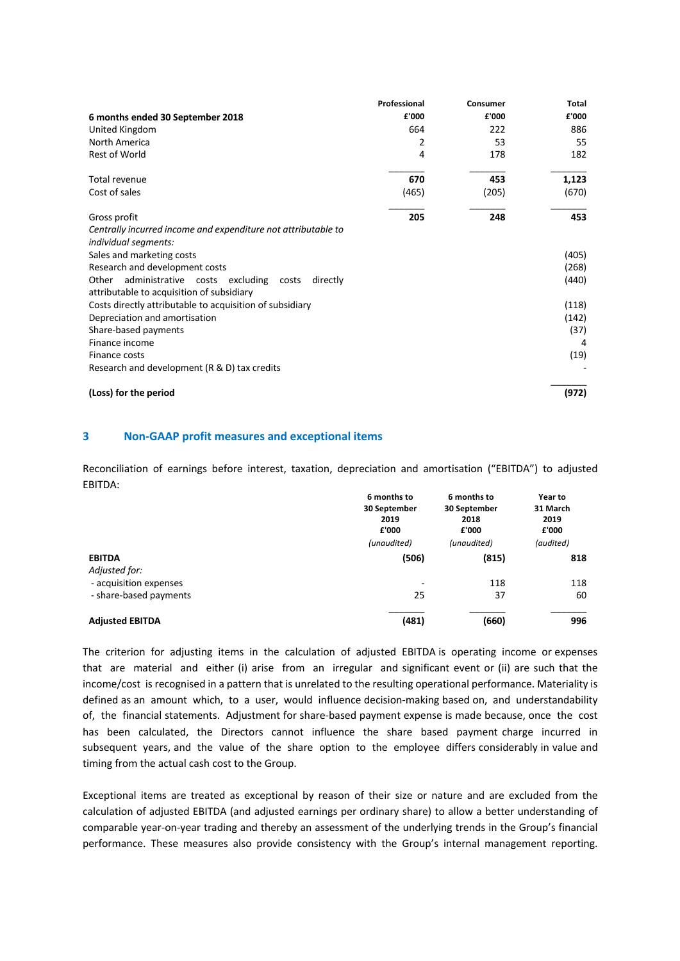|                                                                                                           | Professional | Consumer | Total |
|-----------------------------------------------------------------------------------------------------------|--------------|----------|-------|
| 6 months ended 30 September 2018                                                                          | £'000        | £'000    | £'000 |
| United Kingdom                                                                                            | 664          | 222      | 886   |
| North America                                                                                             | 2            | 53       | 55    |
| <b>Rest of World</b>                                                                                      | 4            | 178      | 182   |
| Total revenue                                                                                             | 670          | 453      | 1,123 |
| Cost of sales                                                                                             | (465)        | (205)    | (670) |
| Gross profit                                                                                              | 205          | 248      | 453   |
| Centrally incurred income and expenditure not attributable to                                             |              |          |       |
| individual segments:                                                                                      |              |          |       |
| Sales and marketing costs                                                                                 |              |          | (405) |
| Research and development costs                                                                            |              |          | (268) |
| administrative costs excluding<br>Other<br>directly<br>costs<br>attributable to acquisition of subsidiary |              |          | (440) |
| Costs directly attributable to acquisition of subsidiary                                                  |              |          | (118) |
| Depreciation and amortisation                                                                             |              |          | (142) |
| Share-based payments                                                                                      |              |          | (37)  |
| Finance income                                                                                            |              |          | 4     |
| Finance costs                                                                                             |              |          | (19)  |
| Research and development (R & D) tax credits                                                              |              |          |       |
| (Loss) for the period                                                                                     |              |          | (972) |

#### **3 Non-GAAP profit measures and exceptional items**

Reconciliation of earnings before interest, taxation, depreciation and amortisation ("EBITDA") to adjusted EBITDA:

|                                | 6 months to<br>30 September<br>2019<br>£'000 | 6 months to<br>30 September<br>2018<br>£'000 | Year to<br>31 March<br>2019<br>£'000 |
|--------------------------------|----------------------------------------------|----------------------------------------------|--------------------------------------|
|                                | (unaudited)                                  | (unaudited)                                  | (audited)                            |
| <b>EBITDA</b><br>Adjusted for: | (506)                                        | (815)                                        | 818                                  |
| - acquisition expenses         | -                                            | 118                                          | 118                                  |
| - share-based payments         | 25                                           | 37                                           | 60                                   |
| <b>Adjusted EBITDA</b>         | (481)                                        | (660)                                        | 996                                  |

The criterion for adjusting items in the calculation of adjusted EBITDA is operating income or expenses that are material and either (i) arise from an irregular and significant event or (ii) are such that the income/cost is recognised in a pattern that is unrelated to the resulting operational performance. Materiality is defined as an amount which, to a user, would influence decision-making based on, and understandability of, the financial statements. Adjustment for share-based payment expense is made because, once the cost has been calculated, the Directors cannot influence the share based payment charge incurred in subsequent years, and the value of the share option to the employee differs considerably in value and timing from the actual cash cost to the Group.

Exceptional items are treated as exceptional by reason of their size or nature and are excluded from the calculation of adjusted EBITDA (and adjusted earnings per ordinary share) to allow a better understanding of comparable year-on-year trading and thereby an assessment of the underlying trends in the Group's financial performance. These measures also provide consistency with the Group's internal management reporting.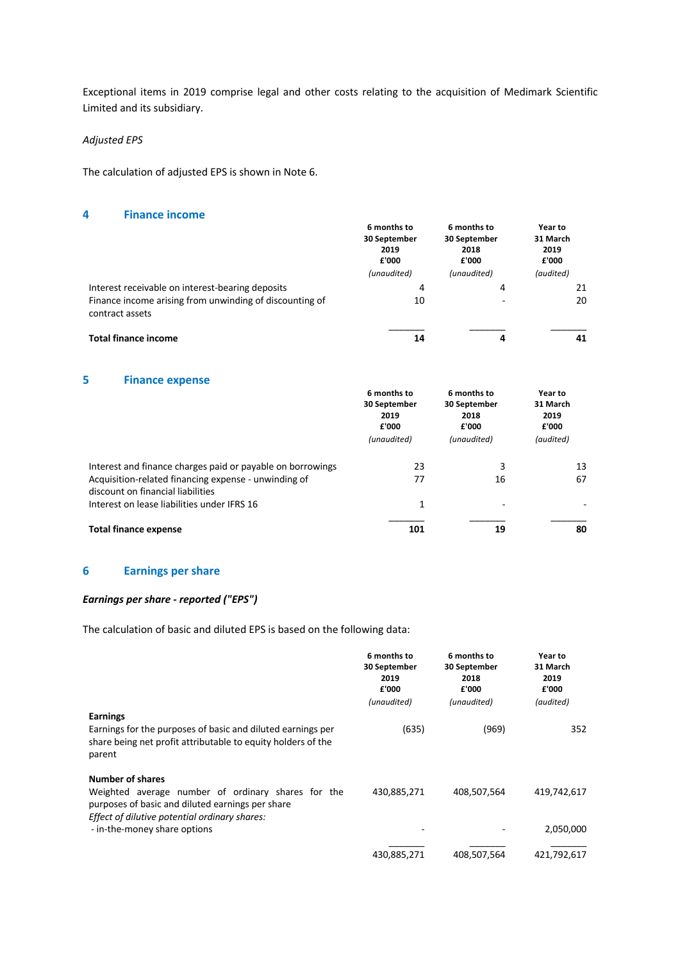Exceptional items in 2019 comprise legal and other costs relating to the acquisition of Medimark Scientific Limited and its subsidiary.

#### *Adjusted EPS*

The calculation of adjusted EPS is shown in Note 6.

### **4 Finance income**

|                                                                            | 6 months to<br>30 September<br>2019<br>£'000<br>(unaudited) | 6 months to<br>30 September<br>2018<br>£'000<br>(unaudited) | Year to<br>31 March<br>2019<br>£'000<br>(audited) |
|----------------------------------------------------------------------------|-------------------------------------------------------------|-------------------------------------------------------------|---------------------------------------------------|
| Interest receivable on interest-bearing deposits                           | 4                                                           | 4                                                           | 21                                                |
| Finance income arising from unwinding of discounting of<br>contract assets | 10                                                          |                                                             | 20                                                |
| <b>Total finance income</b>                                                | 14                                                          | 4                                                           | 41                                                |

### **5 Finance expense**

|                                                                                           | 6 months to<br>30 September<br>2019<br>£'000<br>(unaudited) | 6 months to<br>30 September<br>2018<br>£'000<br>(unaudited) | Year to<br>31 March<br>2019<br>£'000<br>(audited) |
|-------------------------------------------------------------------------------------------|-------------------------------------------------------------|-------------------------------------------------------------|---------------------------------------------------|
| Interest and finance charges paid or payable on borrowings                                | 23                                                          | 3                                                           | 13                                                |
| Acquisition-related financing expense - unwinding of<br>discount on financial liabilities | 77                                                          | 16                                                          | 67                                                |
| Interest on lease liabilities under IFRS 16                                               | 1                                                           |                                                             |                                                   |
| <b>Total finance expense</b>                                                              | 101                                                         | 19                                                          | 80                                                |

### **6 Earnings per share**

#### *Earnings per share - reported ("EPS")*

The calculation of basic and diluted EPS is based on the following data:

|                                                                                                                                                                                    | 6 months to<br>30 September<br>2019<br>£'000<br>(unaudited) | 6 months to<br>30 September<br>2018<br>£'000<br>(unaudited) | Year to<br>31 March<br>2019<br>£'000<br>(audited) |
|------------------------------------------------------------------------------------------------------------------------------------------------------------------------------------|-------------------------------------------------------------|-------------------------------------------------------------|---------------------------------------------------|
| <b>Earnings</b><br>Earnings for the purposes of basic and diluted earnings per<br>share being net profit attributable to equity holders of the<br>parent                           | (635)                                                       | (969)                                                       | 352                                               |
| <b>Number of shares</b><br>Weighted average number of ordinary shares for the<br>purposes of basic and diluted earnings per share<br>Effect of dilutive potential ordinary shares: | 430,885,271                                                 | 408,507,564                                                 | 419,742,617                                       |
| - in-the-money share options                                                                                                                                                       |                                                             |                                                             | 2,050,000                                         |
|                                                                                                                                                                                    | 430,885,271                                                 | 408.507.564                                                 | 421,792,617                                       |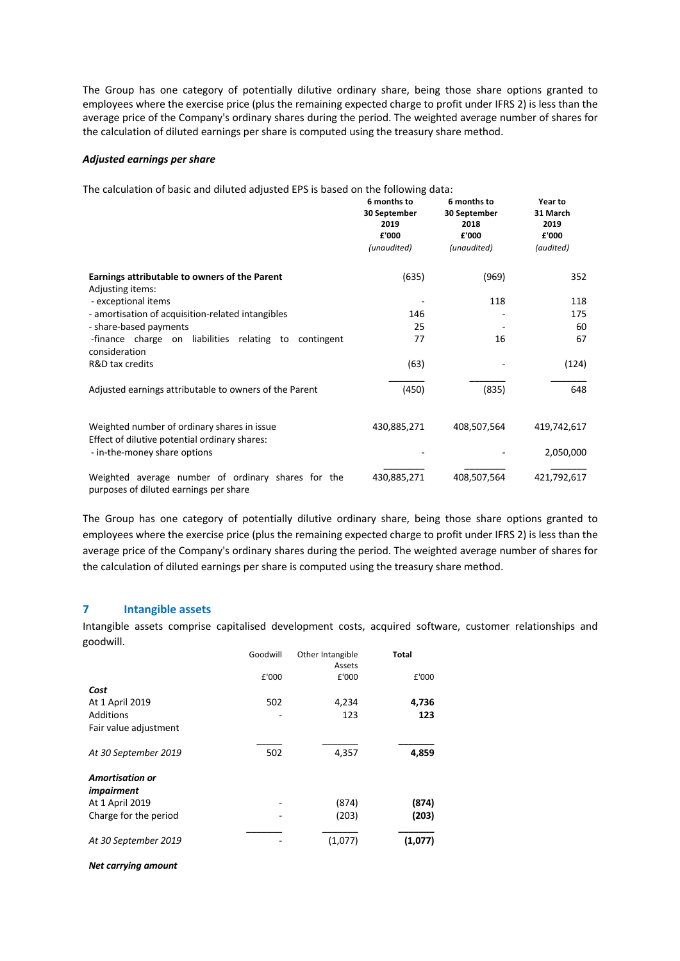The Group has one category of potentially dilutive ordinary share, being those share options granted to employees where the exercise price (plus the remaining expected charge to profit under IFRS 2) is less than the average price of the Company's ordinary shares during the period. The weighted average number of shares for the calculation of diluted earnings per share is computed using the treasury share method.

#### *Adjusted earnings per share*

The calculation of basic and diluted adjusted EPS is based on the following data:

|                                                                                              | 6 months to<br>30 September<br>2019<br>£'000<br>(unaudited) | 6 months to<br>30 September<br>2018<br>£'000<br>(unaudited) | Year to<br>31 March<br>2019<br>£'000<br>(audited) |
|----------------------------------------------------------------------------------------------|-------------------------------------------------------------|-------------------------------------------------------------|---------------------------------------------------|
|                                                                                              |                                                             |                                                             |                                                   |
| Earnings attributable to owners of the Parent<br>Adjusting items:                            | (635)                                                       | (969)                                                       | 352                                               |
| - exceptional items                                                                          |                                                             | 118                                                         | 118                                               |
| - amortisation of acquisition-related intangibles                                            | 146                                                         |                                                             | 175                                               |
| - share-based payments                                                                       | 25                                                          |                                                             | 60                                                |
| -finance charge on liabilities relating to contingent<br>consideration                       | 77                                                          | 16                                                          | 67                                                |
| R&D tax credits                                                                              | (63)                                                        |                                                             | (124)                                             |
| Adjusted earnings attributable to owners of the Parent                                       | (450)                                                       | (835)                                                       | 648                                               |
| Weighted number of ordinary shares in issue<br>Effect of dilutive potential ordinary shares: | 430,885,271                                                 | 408,507,564                                                 | 419,742,617                                       |
| - in-the-money share options                                                                 |                                                             |                                                             | 2,050,000                                         |
| Weighted average number of ordinary shares for the<br>purposes of diluted earnings per share | 430,885,271                                                 | 408,507,564                                                 | 421,792,617                                       |

The Group has one category of potentially dilutive ordinary share, being those share options granted to employees where the exercise price (plus the remaining expected charge to profit under IFRS 2) is less than the average price of the Company's ordinary shares during the period. The weighted average number of shares for the calculation of diluted earnings per share is computed using the treasury share method.

#### **7 Intangible assets**

Intangible assets comprise capitalised development costs, acquired software, customer relationships and goodwill.

| ,-                                                                                      | Goodwill | Other Intangible<br>Assets | <b>Total</b>   |
|-----------------------------------------------------------------------------------------|----------|----------------------------|----------------|
|                                                                                         | £'000    | £'000                      | £'000          |
| Cost<br>At 1 April 2019<br>Additions<br>Fair value adjustment                           | 502      | 4,234<br>123               | 4,736<br>123   |
| At 30 September 2019                                                                    | 502      | 4,357                      | 4,859          |
| <b>Amortisation or</b><br><i>impairment</i><br>At 1 April 2019<br>Charge for the period |          | (874)<br>(203)             | (874)<br>(203) |
| At 30 September 2019                                                                    |          | (1,077)                    | (1,077)        |

#### *Net carrying amount*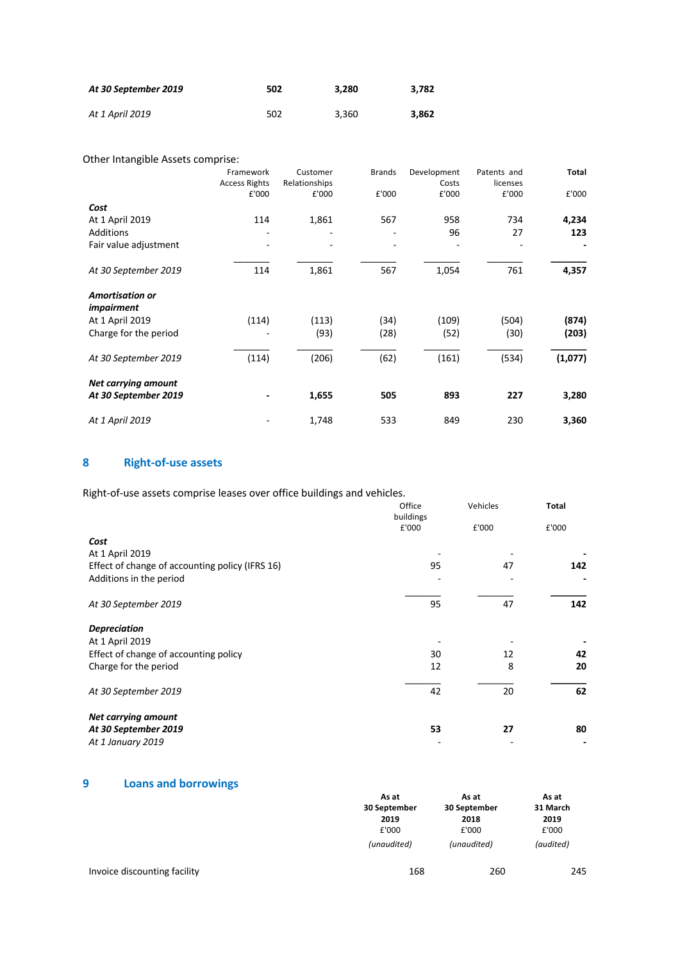| At 30 September 2019 | 502 | 3.280 | 3.782 |
|----------------------|-----|-------|-------|
| At 1 April 2019      | 502 | 3.360 | 3.862 |

Other Intangible Assets comprise:

|                                             | Framework            | Customer      | <b>Brands</b> | Development | Patents and | Total   |
|---------------------------------------------|----------------------|---------------|---------------|-------------|-------------|---------|
|                                             | <b>Access Rights</b> | Relationships |               | Costs       | licenses    |         |
|                                             | £'000                | £'000         | £'000         | £'000       | £'000       | £'000   |
| Cost                                        |                      |               |               |             |             |         |
| At 1 April 2019                             | 114                  | 1,861         | 567           | 958         | 734         | 4,234   |
| <b>Additions</b>                            |                      |               |               | 96          | 27          | 123     |
| Fair value adjustment                       |                      |               |               |             |             |         |
| At 30 September 2019                        | 114                  | 1,861         | 567           | 1,054       | 761         | 4,357   |
| <b>Amortisation or</b><br><i>impairment</i> |                      |               |               |             |             |         |
| At 1 April 2019                             | (114)                | (113)         | (34)          | (109)       | (504)       | (874)   |
| Charge for the period                       |                      | (93)          | (28)          | (52)        | (30)        | (203)   |
| At 30 September 2019                        | (114)                | (206)         | (62)          | (161)       | (534)       | (1,077) |
| <b>Net carrying amount</b>                  |                      |               |               |             |             |         |
| At 30 September 2019                        |                      | 1,655         | 505           | 893         | 227         | 3,280   |
| At 1 April 2019                             |                      | 1,748         | 533           | 849         | 230         | 3,360   |

# **8 Right-of-use assets**

Right-of-use assets comprise leases over office buildings and vehicles.

|                                                 | Office<br>buildings | Vehicles |       |
|-------------------------------------------------|---------------------|----------|-------|
|                                                 | £'000               | £'000    | £'000 |
| Cost                                            |                     |          |       |
| At 1 April 2019                                 |                     |          |       |
| Effect of change of accounting policy (IFRS 16) | 95                  | 47       | 142   |
| Additions in the period                         |                     |          |       |
| At 30 September 2019                            | 95                  | 47       | 142   |
| <b>Depreciation</b>                             |                     |          |       |
| At 1 April 2019                                 |                     |          |       |
| Effect of change of accounting policy           | 30                  | 12       | 42    |
| Charge for the period                           | 12                  | 8        | 20    |
| At 30 September 2019                            | 42                  | 20       | 62    |
| <b>Net carrying amount</b>                      |                     |          |       |
| At 30 September 2019                            | 53                  | 27       | 80    |
| At 1 January 2019                               |                     |          |       |

# **9 Loans and borrowings**

|                              | As at        | As at        | As at     |
|------------------------------|--------------|--------------|-----------|
|                              | 30 September | 30 September | 31 March  |
|                              | 2019         | 2018         | 2019      |
|                              | £'000        | £'000        | £'000     |
|                              | (unaudited)  | (unaudited)  | (audited) |
| Invoice discounting facility | 168          | 260          | 245       |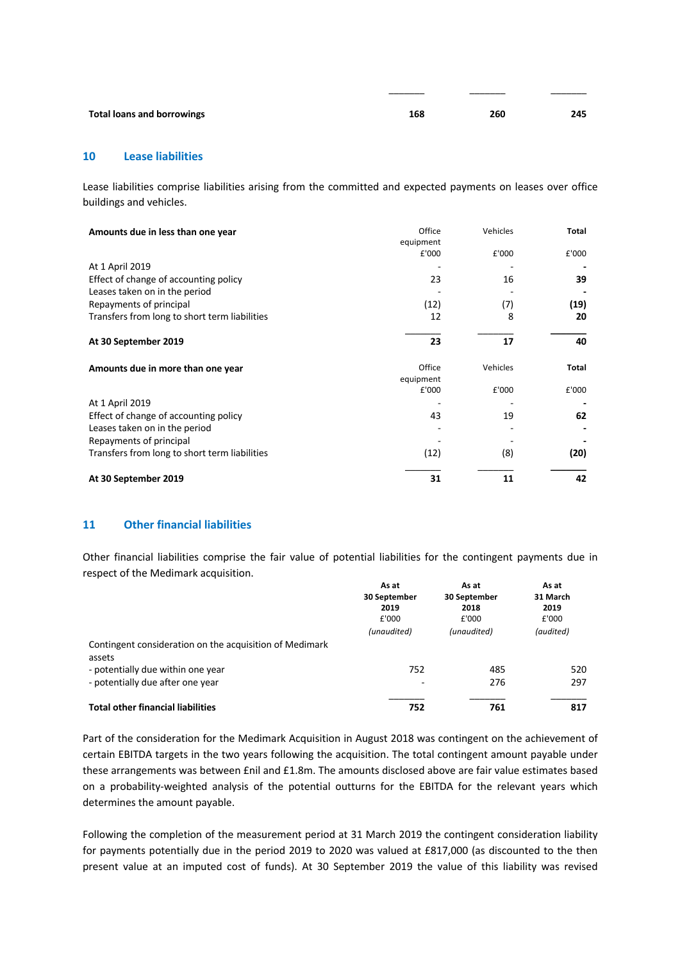| <b>Total loans and borrowings</b> | 168 | 260 | 245 |
|-----------------------------------|-----|-----|-----|
|                                   |     |     |     |

\_\_\_\_\_\_\_ \_\_\_\_\_\_\_ \_\_\_\_\_\_\_

#### **10 Lease liabilities**

Lease liabilities comprise liabilities arising from the committed and expected payments on leases over office buildings and vehicles.

| Amounts due in less than one year             | Office<br>equipment | Vehicles | Total |
|-----------------------------------------------|---------------------|----------|-------|
|                                               | £'000               | £'000    | £'000 |
| At 1 April 2019                               |                     |          |       |
| Effect of change of accounting policy         | 23                  | 16       | 39    |
| Leases taken on in the period                 |                     |          |       |
| Repayments of principal                       | (12)                | (7)      | (19)  |
| Transfers from long to short term liabilities | 12                  | 8        | 20    |
| At 30 September 2019                          | 23                  | 17       | 40    |
| Amounts due in more than one year             | Office              | Vehicles | Total |
|                                               | equipment<br>£'000  | £'000    | £'000 |
| At 1 April 2019                               |                     |          |       |
| Effect of change of accounting policy         | 43                  | 19       | 62    |
| Leases taken on in the period                 |                     |          |       |
| Repayments of principal                       |                     |          |       |
| Transfers from long to short term liabilities | (12)                | (8)      | (20)  |
| At 30 September 2019                          | 31                  | 11       | 42    |

#### **11 Other financial liabilities**

Other financial liabilities comprise the fair value of potential liabilities for the contingent payments due in respect of the Medimark acquisition.

|                                                                   | As at<br>30 September<br>2019<br>£'000<br>(unaudited) | As at<br>30 September<br>2018<br>£'000<br>(unaudited) | As at<br>31 March<br>2019<br>£'000<br>(audited) |
|-------------------------------------------------------------------|-------------------------------------------------------|-------------------------------------------------------|-------------------------------------------------|
| Contingent consideration on the acquisition of Medimark<br>assets |                                                       |                                                       |                                                 |
| - potentially due within one year                                 | 752                                                   | 485                                                   | 520                                             |
| - potentially due after one year                                  | -                                                     | 276                                                   | 297                                             |
| <b>Total other financial liabilities</b>                          | 752                                                   | 761                                                   | 817                                             |

Part of the consideration for the Medimark Acquisition in August 2018 was contingent on the achievement of certain EBITDA targets in the two years following the acquisition. The total contingent amount payable under these arrangements was between £nil and £1.8m. The amounts disclosed above are fair value estimates based on a probability-weighted analysis of the potential outturns for the EBITDA for the relevant years which determines the amount payable.

Following the completion of the measurement period at 31 March 2019 the contingent consideration liability for payments potentially due in the period 2019 to 2020 was valued at £817,000 (as discounted to the then present value at an imputed cost of funds). At 30 September 2019 the value of this liability was revised